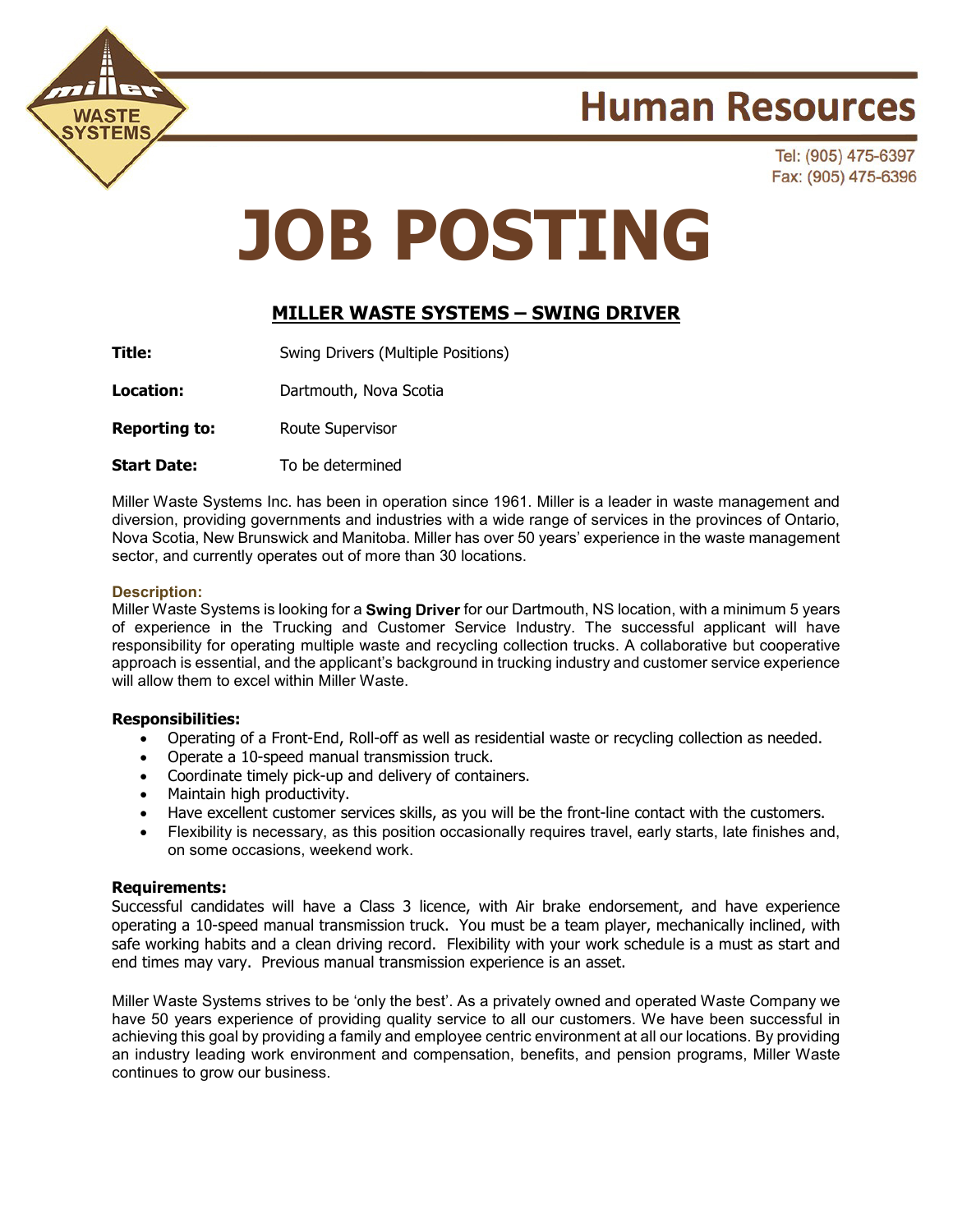

## **Human Resources**

Tel: (905) 475-6397 Fax: (905) 475-6396

# **JOB POSTING**

### **MILLER WASTE SYSTEMS – SWING DRIVER**

**Title:** Swing Drivers (Multiple Positions)

**Location:** Dartmouth, Nova Scotia

**Reporting to:** Route Supervisor

**Start Date:** To be determined

Miller Waste Systems Inc. has been in operation since 1961. Miller is a leader in waste management and diversion, providing governments and industries with a wide range of services in the provinces of Ontario, Nova Scotia, New Brunswick and Manitoba. Miller has over 50 years' experience in the waste management sector, and currently operates out of more than 30 locations.

#### **Description:**

Miller Waste Systems is looking for a **Swing Driver** for our Dartmouth, NS location, with a minimum 5 years of experience in the Trucking and Customer Service Industry. The successful applicant will have responsibility for operating multiple waste and recycling collection trucks. A collaborative but cooperative approach is essential, and the applicant's background in trucking industry and customer service experience will allow them to excel within Miller Waste.

#### **Responsibilities:**

- Operating of a Front-End, Roll-off as well as residential waste or recycling collection as needed.
- Operate a 10-speed manual transmission truck.
- Coordinate timely pick-up and delivery of containers.
- Maintain high productivity.
- Have excellent customer services skills, as you will be the front-line contact with the customers.
- Flexibility is necessary, as this position occasionally requires travel, early starts, late finishes and, on some occasions, weekend work.

#### **Requirements:**

Successful candidates will have a Class 3 licence, with Air brake endorsement, and have experience operating a 10-speed manual transmission truck. You must be a team player, mechanically inclined, with safe working habits and a clean driving record. Flexibility with your work schedule is a must as start and end times may vary. Previous manual transmission experience is an asset.

Miller Waste Systems strives to be 'only the best'. As a privately owned and operated Waste Company we have 50 years experience of providing quality service to all our customers. We have been successful in achieving this goal by providing a family and employee centric environment at all our locations. By providing an industry leading work environment and compensation, benefits, and pension programs, Miller Waste continues to grow our business.